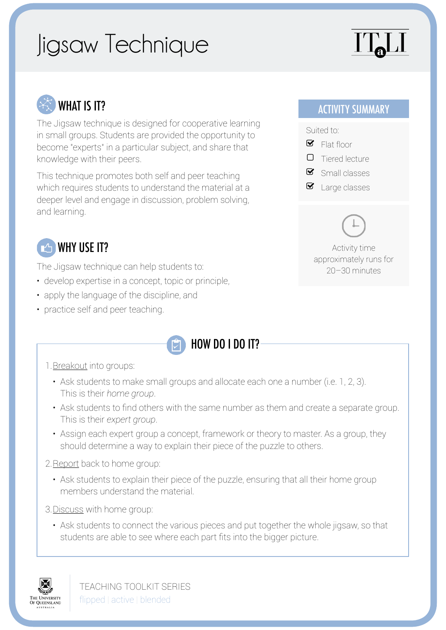# Jigsaw Technique

# ITJ



The Jigsaw technique is designed for cooperative learning in small groups. Students are provided the opportunity to become "experts" in a particular subject, and share that knowledge with their peers.

This technique promotes both self and peer teaching which requires students to understand the material at a deeper level and engage in discussion, problem solving, and learning.

# **But If The WHY USE IT?**

The Jigsaw technique can help students to:

- develop expertise in a concept, topic or principle,
- apply the language of the discipline, and
- practice self and peer teaching.



#### 1.Breakout into groups:

- Ask students to make small groups and allocate each one a number (i.e. 1, 2, 3). This is their *home group*.
- Ask students to find others with the same number as them and create a separate group. This is their *expert group*.
- Assign each expert group a concept, framework or theory to master. As a group, they should determine a way to explain their piece of the puzzle to others.
- 2.Report back to home group:
	- Ask students to explain their piece of the puzzle, ensuring that all their home group members understand the material.
- 3.Discuss with home group:
	- Ask students to connect the various pieces and put together the whole jigsaw, so that students are able to see where each part fits into the bigger picture.



TEACHING TOOLKIT SERIES flipped | active | blended

### ACTIVITY SUMMARY

#### Suited to:



- d Tiered lecture
- $\bullet$  Small classes
- $\blacksquare$  Large classes

Activity time approximately runs for 20–30 minutes